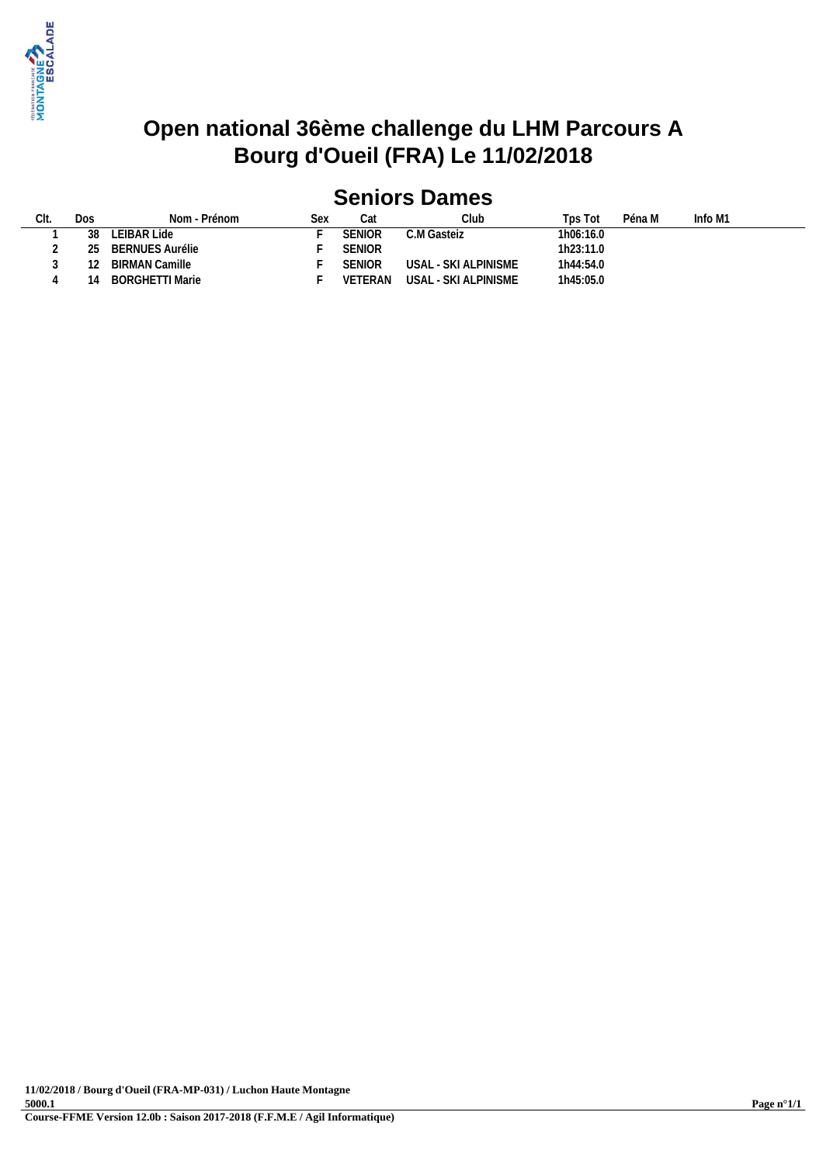

### **Open national 36ème challenge du LHM Parcours A Bourg d'Oueil (FRA) Le 11/02/2018**

## **Seniors Dames**

| CIt.     | Dos | Nom - Prénom    | Sex |               | Club                 | Tps Tot   | Péna M | Info M1 |
|----------|-----|-----------------|-----|---------------|----------------------|-----------|--------|---------|
|          | 38  | LEIBAR Lide     |     | SENIOR        | C.M Gasteiz          | 1h06:16.0 |        |         |
| <u>.</u> | ንፍ  | BERNUES Aurélie |     | <b>SENIOR</b> |                      | 1h23:11.0 |        |         |
|          |     | BIRMAN Camille  |     | <b>SENIOR</b> | USAL - SKI ALPINISME | 1h44:54.0 |        |         |
|          |     | BORGHETTI Marie |     | VETERAN       | USAL - SKI ALPINISME | 1h45:05.0 |        |         |
|          |     |                 |     |               |                      |           |        |         |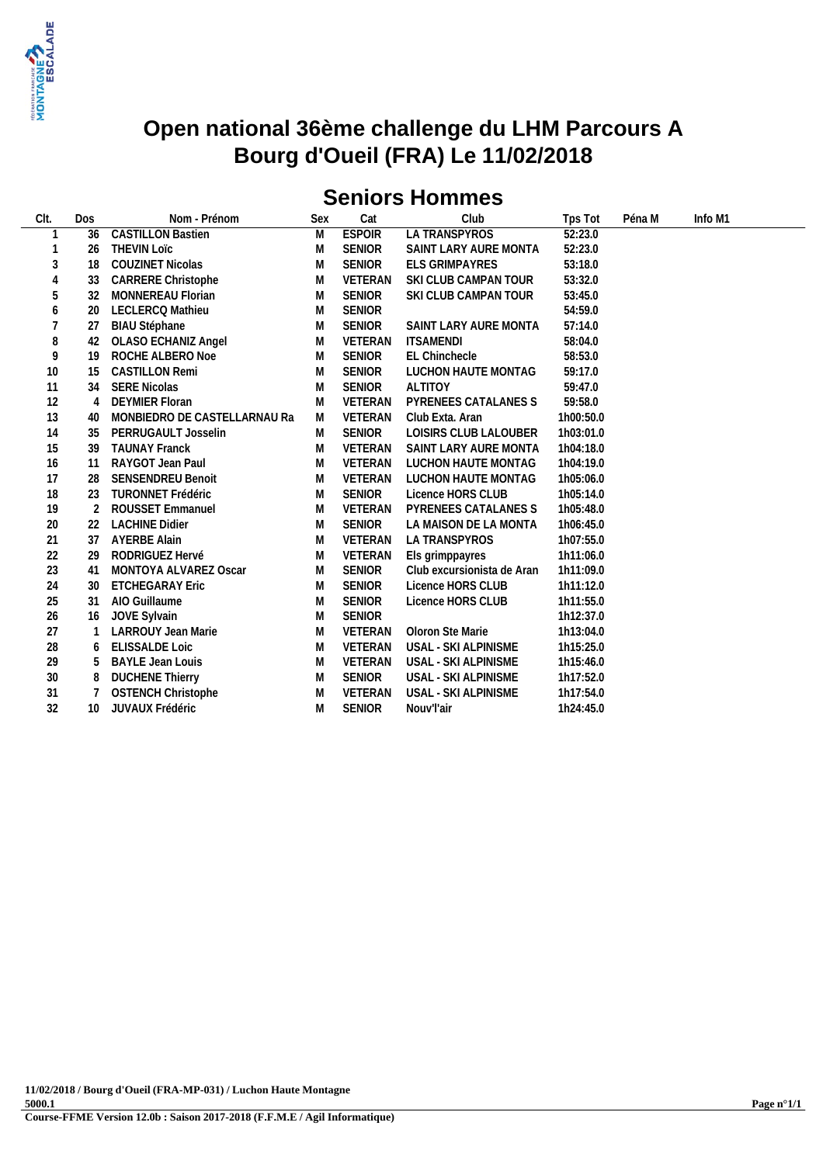

### **Open national 36ème challenge du LHM Parcours A Bourg d'Oueil (FRA) Le 11/02/2018**

## **Seniors Hommes**

| CIt.   | Dos | Nom - Prénom                 | <b>Sex</b> | Cat            | Club                       | Tps Tot   | Péna M | Info M1 |  |
|--------|-----|------------------------------|------------|----------------|----------------------------|-----------|--------|---------|--|
|        | 36  | <b>CASTILLON Bastien</b>     | M          | <b>ESPOIR</b>  | LA TRANSPYROS              | 52:23.0   |        |         |  |
|        | 26  | <b>THEVIN LOTC</b>           | M          | <b>SENIOR</b>  | SAINT LARY AURE MONTA      | 52:23.0   |        |         |  |
| 3      | 18  | <b>COUZINET Nicolas</b>      | M          | <b>SENIOR</b>  | ELS GRIMPAYRES             | 53:18.0   |        |         |  |
| 4      | 33  | <b>CARRERE Christophe</b>    | M          | VETERAN        | SKI CLUB CAMPAN TOUR       | 53:32.0   |        |         |  |
| 5      | 32  | MONNEREAU Florian            | M          | <b>SENIOR</b>  | SKI CLUB CAMPAN TOUR       | 53:45.0   |        |         |  |
| 6      | 20  | LECLERCQ Mathieu             | M          | <b>SENIOR</b>  |                            | 54:59.0   |        |         |  |
| 7      | 27  | <b>BIAU Stéphane</b>         | M          | <b>SENIOR</b>  | SAINT LARY AURE MONTA      | 57:14.0   |        |         |  |
| 8      | 42  | <b>OLASO ECHANIZ Angel</b>   | M          | VETERAN        | <b>ITSAMENDI</b>           | 58:04.0   |        |         |  |
| 9      | 19  | ROCHE ALBERO Noe             | M          | <b>SENIOR</b>  | <b>EL Chinchecle</b>       | 58:53.0   |        |         |  |
| 10     | 15  | <b>CASTILLON Remi</b>        | M          | <b>SENIOR</b>  | LUCHON HAUTE MONTAG        | 59:17.0   |        |         |  |
| 11     | 34  | <b>SERE Nicolas</b>          | M          | <b>SENIOR</b>  | <b>ALTITOY</b>             | 59:47.0   |        |         |  |
| 12     | 4   | <b>DEYMIER Floran</b>        | M          | <b>VETERAN</b> | PYRENEES CATALANES S       | 59:58.0   |        |         |  |
| 13     | 40  | MONBIEDRO DE CASTELLARNAU Ra | M          | VETERAN        | Club Exta, Aran            | 1h00:50.0 |        |         |  |
| 14     | 35  | PERRUGAULT Josselin          | M          | <b>SENIOR</b>  | LOISIRS CLUB LALOUBER      | 1h03:01.0 |        |         |  |
| 15     | 39  | <b>TAUNAY Franck</b>         | M          | VETERAN        | SAINT LARY AURE MONTA      | 1h04:18.0 |        |         |  |
| 16     | 11  | RAYGOT Jean Paul             | M          | VETERAN        | LUCHON HAUTE MONTAG        | 1h04:19.0 |        |         |  |
| 17     | 28  | <b>SENSENDREU Benoit</b>     | M          | <b>VETERAN</b> | LUCHON HAUTE MONTAG        | 1h05:06.0 |        |         |  |
| 18     | 23  | <b>TURONNET Frédéric</b>     | M          | <b>SENIOR</b>  | Licence HORS CLUB          | 1h05:14.0 |        |         |  |
| 19     |     | <b>ROUSSET Emmanuel</b>      | M          | VETERAN        | PYRENEES CATALANES S       | 1h05:48.0 |        |         |  |
| 20     | 22  | <b>LACHINE Didier</b>        | M          | <b>SENIOR</b>  | LA MAISON DE LA MONTA      | 1h06:45.0 |        |         |  |
| 21     | 37  | <b>AYERBE Alain</b>          | M          | VETERAN        | LA TRANSPYROS              | 1h07:55.0 |        |         |  |
| 22     | 29  | RODRIGUEZ Hervé              | M          | <b>VETERAN</b> | Els grimppayres            | 1h11:06.0 |        |         |  |
| 23     | 41  | MONTOYA ALVAREZ Oscar        | M          | <b>SENIOR</b>  | Club excursionista de Aran | 1h11:09.0 |        |         |  |
| 24     | 30  | <b>ETCHEGARAY Eric</b>       | M          | <b>SENIOR</b>  | Licence HORS CLUB          | 1h11:12.0 |        |         |  |
| 25     | 31  | AIO Guillaume                | M          | <b>SENIOR</b>  | Licence HORS CLUB          | 1h11:55.0 |        |         |  |
| 26     | 16  | JOVE Sylvain                 | M          | <b>SENIOR</b>  |                            | 1h12:37.0 |        |         |  |
| 27     |     | LARROUY Jean Marie           | M          | VETERAN        | Oloron Ste Marie           | 1h13:04.0 |        |         |  |
| 28     | 6   | <b>ELISSALDE Loic</b>        | M          | VETERAN        | USAL - SKI ALPINISME       | 1h15:25.0 |        |         |  |
| 29     | 5   | <b>BAYLE Jean Louis</b>      | M          | VETERAN        | USAL - SKI ALPINISME       | 1h15:46.0 |        |         |  |
| $30\,$ | 8   | <b>DUCHENE Thierry</b>       | M          | <b>SENIOR</b>  | USAL - SKI ALPINISME       | 1h17:52.0 |        |         |  |
| 31     |     | <b>OSTENCH Christophe</b>    | M          | VETERAN        | USAL - SKI ALPINISME       | 1h17:54.0 |        |         |  |
| 32     | 10  | JUVAUX Frédéric              | M          | <b>SENIOR</b>  | Nouv'l'air                 | 1h24:45.0 |        |         |  |
|        |     |                              |            |                |                            |           |        |         |  |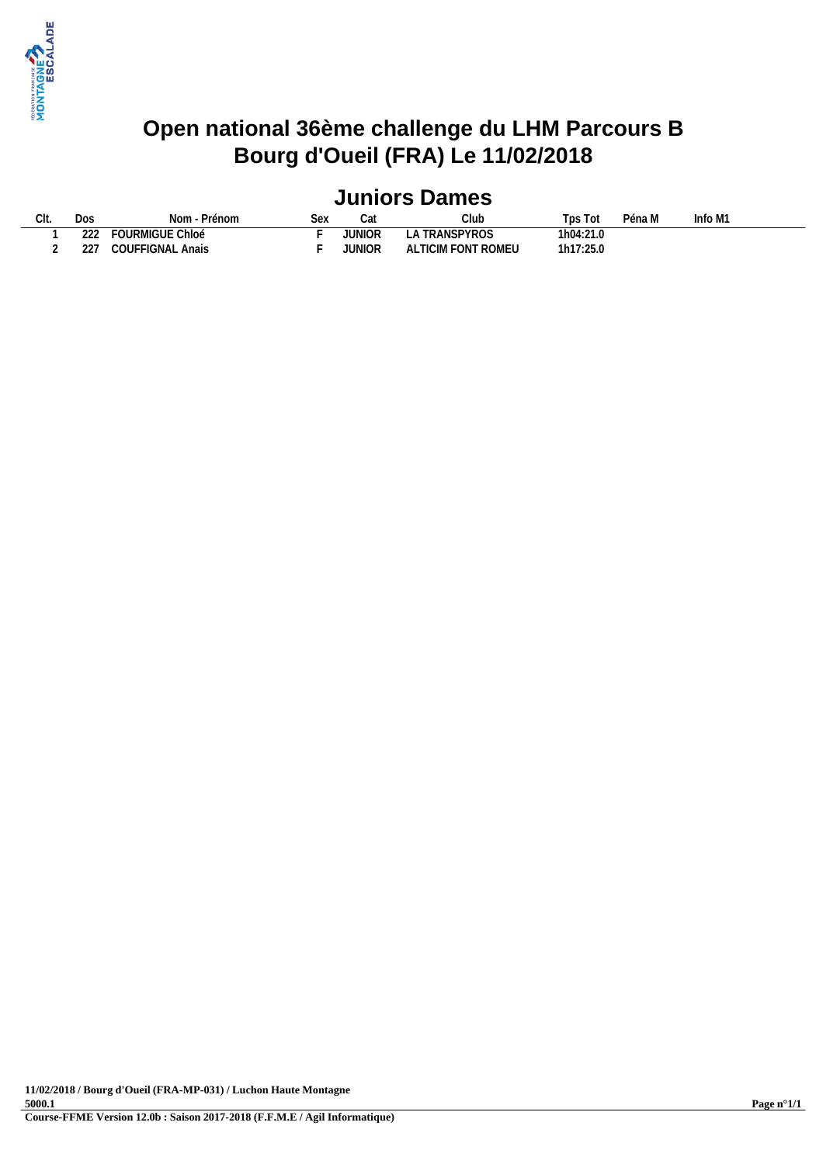

### **Open national 36ème challenge du LHM Parcours B Bourg d'Oueil (FRA) Le 11/02/2018**

## **Juniors Dames**

| Clt. | Dos           | Nom - Prénom                            | $\sim \sim$<br>〜〜 | $\sim$<br>Udl | Club                             | $\overline{\phantom{0}}$<br>Tps<br>Tot | $\sim$ $\sim$<br>'éna M | Info $M1$ |
|------|---------------|-----------------------------------------|-------------------|---------------|----------------------------------|----------------------------------------|-------------------------|-----------|
|      | $\sim$<br>222 | <b>FOURMIGUE Chloé</b>                  |                   | JUNIOR        | <b>TRANSPYROS</b><br>∟⊬          | 1h04:21.0                              |                         |           |
|      | າາ"           | FIGNAL<br>$\sim$ $\sim$ $\sim$<br>Anais |                   | JUNIOR        | <b>FONT ROMEU</b><br>TICIM<br>ΑL | 1h17:25.0                              |                         |           |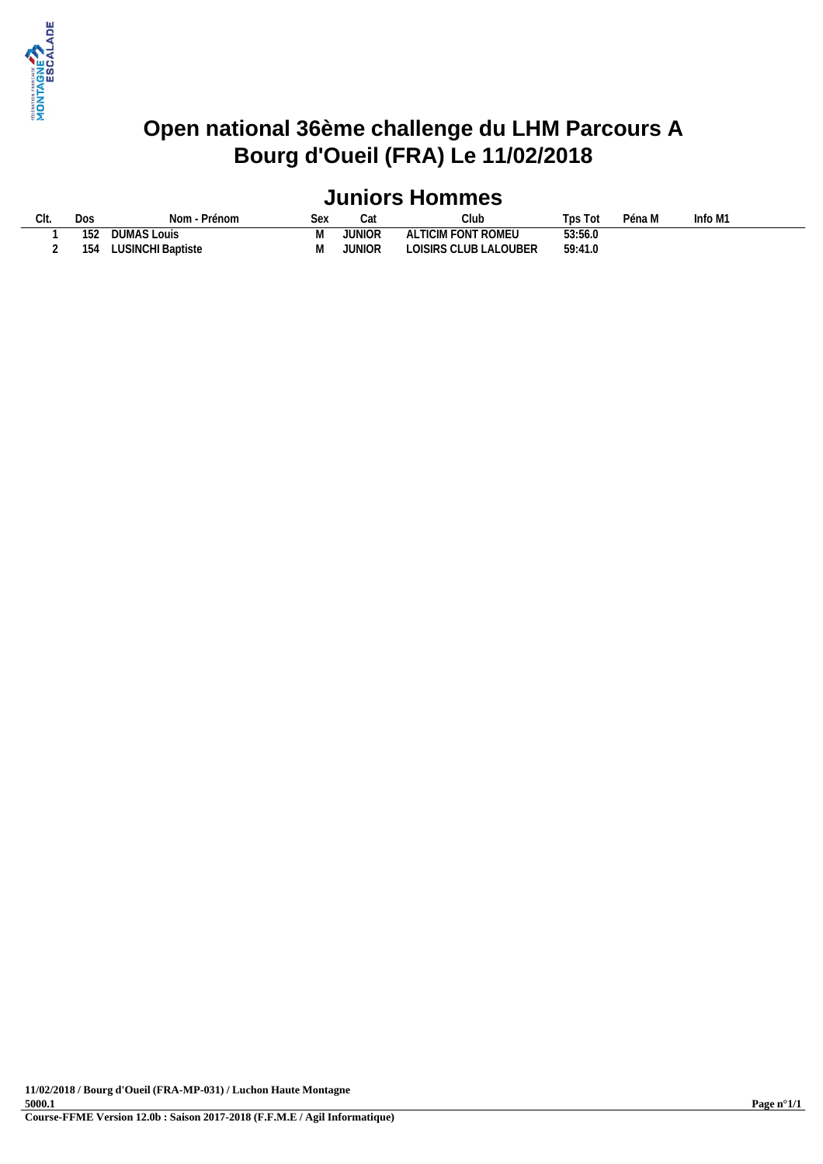

### **Open national 36ème challenge du LHM Parcours A Bourg d'Oueil (FRA) Le 11/02/2018**

# **Juniors Hommes**

| CIt. | Dos | · Prénom<br>Nom   | <b>Sex</b> |        | Club                  | Tps T   | Péna M | Info M1 |
|------|-----|-------------------|------------|--------|-----------------------|---------|--------|---------|
|      | 152 | DUMAS Louis       |            | JUNIOR | ALTICIM FONT ROMEU    | 53:56.0 |        |         |
|      | 154 | LUSINCHI Baptiste |            | JUNIOR | LOISIRS CLUB LALOUBER | 59:41.0 |        |         |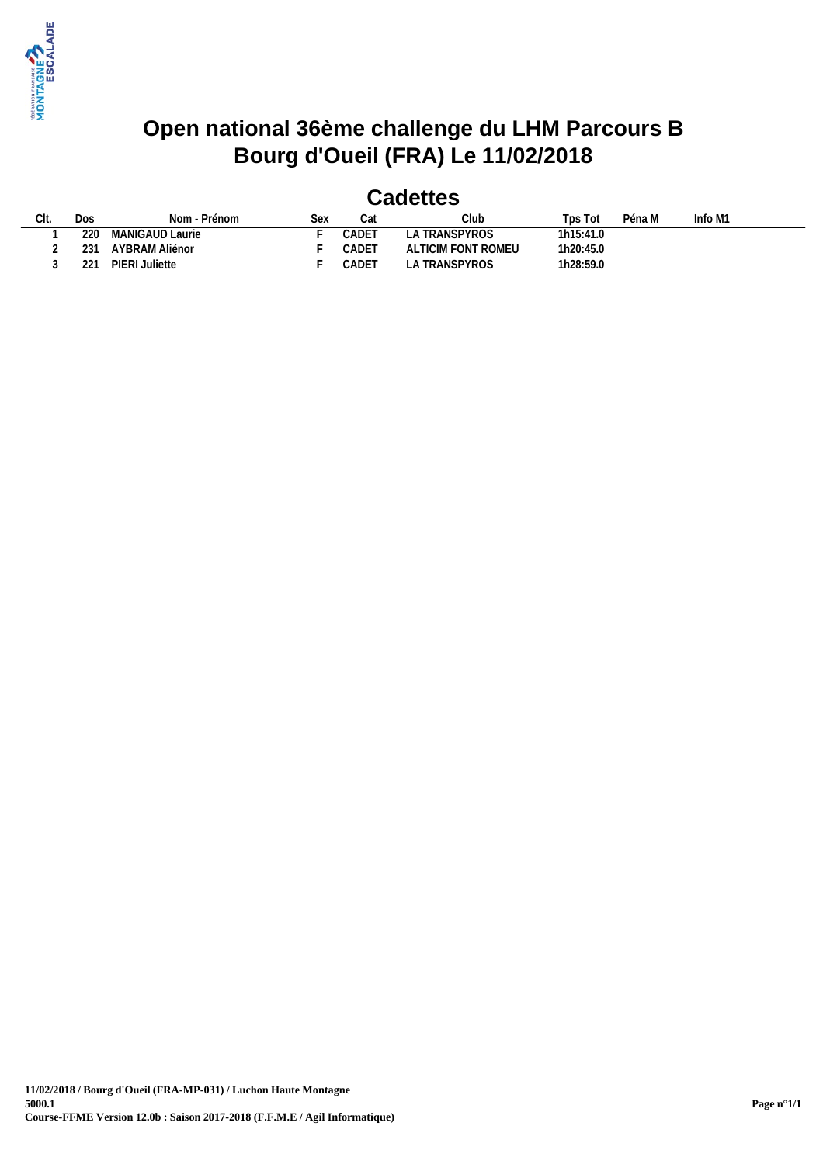

### **Open national 36ème challenge du LHM Parcours B Bourg d'Oueil (FRA) Le 11/02/2018**

#### **Cadettes**

| $\bigcap_{i=1}^{n}$<br>UII. |   | Dos | Nom - Prénom       | Sex | Cat   | Club               | Tps Tot   | Péna M | Info M1 |  |
|-----------------------------|---|-----|--------------------|-----|-------|--------------------|-----------|--------|---------|--|
|                             |   | 220 | MANIGAUD Laurie    |     | CADET | A TRANSPYROS       | 1h15:41.0 |        |         |  |
|                             | ∸ | 231 | AYBRAM Aliénor     |     | CADET | ALTICIM FONT ROMEU | 1h20:45.0 |        |         |  |
|                             |   | 221 | PIERI.<br>Juliette |     | CADET | LA TRANSPYROS      | 1h28:59.0 |        |         |  |